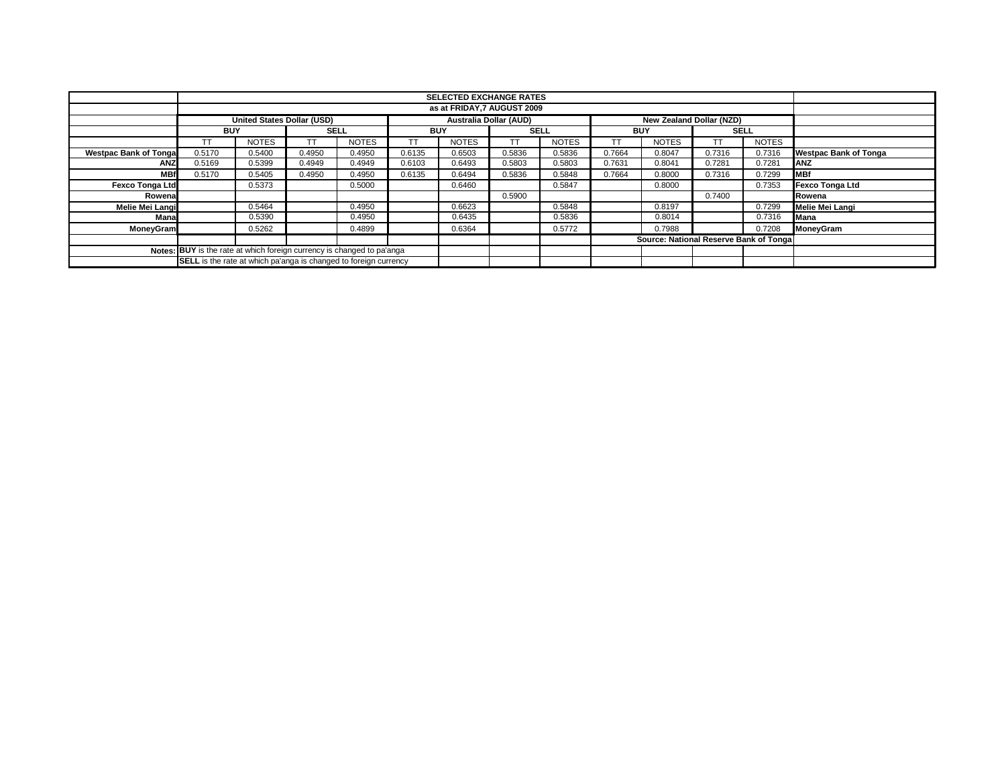|                                                                         |            |                                   |             |              |            | <b>SELECTED EXCHANGE RATES</b> |             |              |            |                                        |             |              |                              |
|-------------------------------------------------------------------------|------------|-----------------------------------|-------------|--------------|------------|--------------------------------|-------------|--------------|------------|----------------------------------------|-------------|--------------|------------------------------|
|                                                                         |            | as at FRIDAY.7 AUGUST 2009        |             |              |            |                                |             |              |            |                                        |             |              |                              |
|                                                                         |            | <b>United States Dollar (USD)</b> |             |              |            | <b>Australia Dollar (AUD)</b>  |             |              |            | New Zealand Dollar (NZD)               |             |              |                              |
|                                                                         | <b>BUY</b> |                                   | <b>SELL</b> |              | <b>BUY</b> |                                | <b>SELL</b> |              | <b>BUY</b> |                                        | <b>SELL</b> |              |                              |
|                                                                         | ТT         | <b>NOTES</b>                      | <b>TT</b>   | <b>NOTES</b> | <b>TT</b>  | <b>NOTES</b>                   | TΤ          | <b>NOTES</b> | ТT         | <b>NOTES</b>                           |             | <b>NOTES</b> |                              |
| <b>Westpac Bank of Tonga</b>                                            | 0.5170     | 0.5400                            | 0.4950      | 0.4950       | 0.6135     | 0.6503                         | 0.5836      | 0.5836       | 0.7664     | 0.8047                                 | 0.7316      | 0.7316       | <b>Westpac Bank of Tonga</b> |
| <b>ANZ</b>                                                              | 0.5169     | 0.5399                            | 0.4949      | 0.4949       | 0.6103     | 0.6493                         | 0.5803      | 0.5803       | 0.7631     | 0.8041                                 | 0.7281      | 0.7281       | <b>ANZ</b>                   |
| <b>MBf</b>                                                              | 0.5170     | 0.5405                            | 0.4950      | 0.4950       | 0.6135     | 0.6494                         | 0.5836      | 0.5848       | 0.7664     | 0.8000                                 | 0.7316      | 0.7299       | <b>MBf</b>                   |
| <b>Fexco Tonga Ltd</b>                                                  |            | 0.5373                            |             | 0.5000       |            | 0.6460                         |             | 0.5847       |            | 0.8000                                 |             | 0.7353       | <b>Fexco Tonga Ltd</b>       |
| Rowenal                                                                 |            |                                   |             |              |            |                                | 0.5900      |              |            |                                        | 0.7400      |              | Rowena                       |
| <b>Melie Mei Langi</b>                                                  |            | 0.5464                            |             | 0.4950       |            | 0.6623                         |             | 0.5848       |            | 0.8197                                 |             | 0.7299       | Melie Mei Langi              |
| Mana                                                                    |            | 0.5390                            |             | 0.4950       |            | 0.6435                         |             | 0.5836       |            | 0.8014                                 |             | 0.7316       | Mana                         |
| MoneyGram                                                               |            | 0.5262                            |             | 0.4899       |            | 0.6364                         |             | 0.5772       |            | 0.7988                                 |             | 0.7208       | MoneyGram                    |
|                                                                         |            |                                   |             |              |            |                                |             |              |            | Source: National Reserve Bank of Tonga |             |              |                              |
| Notes: BUY is the rate at which foreign currency is changed to pa'anga  |            |                                   |             |              |            |                                |             |              |            |                                        |             |              |                              |
| <b>SELL</b> is the rate at which pa'anga is changed to foreign currency |            |                                   |             |              |            |                                |             |              |            |                                        |             |              |                              |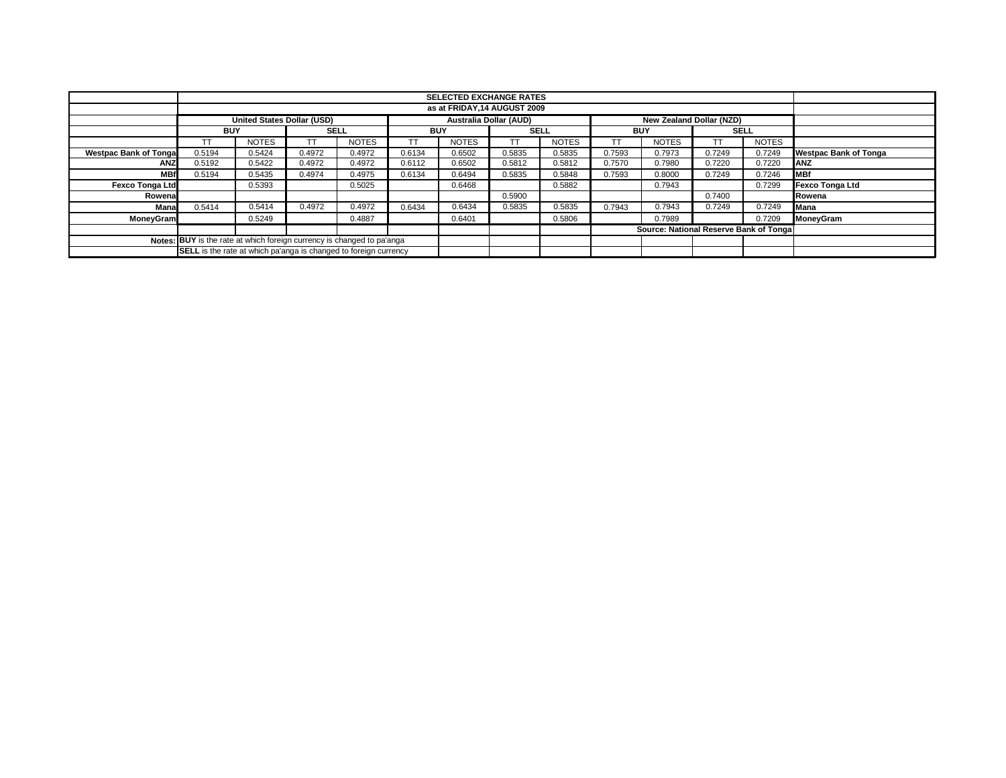|                                                                        |                                                                         | <b>SELECTED EXCHANGE RATES</b>                                                                 |        |              |            |              |             |              |            |                                        |             |              |                              |
|------------------------------------------------------------------------|-------------------------------------------------------------------------|------------------------------------------------------------------------------------------------|--------|--------------|------------|--------------|-------------|--------------|------------|----------------------------------------|-------------|--------------|------------------------------|
|                                                                        | as at FRIDAY.14 AUGUST 2009                                             |                                                                                                |        |              |            |              |             |              |            |                                        |             |              |                              |
|                                                                        |                                                                         | <b>Australia Dollar (AUD)</b><br><b>United States Dollar (USD)</b><br>New Zealand Dollar (NZD) |        |              |            |              |             |              |            |                                        |             |              |                              |
|                                                                        | <b>BUY</b>                                                              |                                                                                                |        | <b>SELL</b>  | <b>BUY</b> |              | <b>SELL</b> |              | <b>BUY</b> |                                        | <b>SELL</b> |              |                              |
|                                                                        | TT                                                                      | <b>NOTES</b>                                                                                   |        | <b>NOTES</b> |            | <b>NOTES</b> |             | <b>NOTES</b> |            | <b>NOTES</b>                           |             | <b>NOTES</b> |                              |
| <b>Westpac Bank of Tongal</b>                                          | 0.5194                                                                  | 0.5424                                                                                         | 0.4972 | 0.4972       | 0.6134     | 0.6502       | 0.5835      | 0.5835       | 0.7593     | 0.7973                                 | 0.7249      | 0.7249       | <b>Westpac Bank of Tonga</b> |
| <b>ANZ</b>                                                             | 0.5192                                                                  | 0.5422                                                                                         | 0.4972 | 0.4972       | 0.6112     | 0.6502       | 0.5812      | 0.5812       | 0.7570     | 0.7980                                 | 0.7220      | 0.7220       | <b>ANZ</b>                   |
| <b>MBf</b>                                                             | 0.5194                                                                  | 0.5435                                                                                         | 0.4974 | 0.4975       | 0.6134     | 0.6494       | 0.5835      | 0.5848       | 0.7593     | 0.8000                                 | 0.7249      | 0.7246       | <b>IMBf</b>                  |
| <b>Fexco Tonga Ltd</b>                                                 |                                                                         | 0.5393                                                                                         |        | 0.5025       |            | 0.6468       |             | 0.5882       |            | 0.7943                                 |             | 0.7299       | <b>Fexco Tonga Ltd</b>       |
| Rowena                                                                 |                                                                         |                                                                                                |        |              |            |              | 0.5900      |              |            |                                        | 0.7400      |              | Rowena                       |
| Mana                                                                   | 0.5414                                                                  | 0.5414                                                                                         | 0.4972 | 0.4972       | 0.6434     | 0.6434       | 0.5835      | 0.5835       | 0.7943     | 0.7943                                 | 0.7249      | 0.7249       | Mana                         |
| <b>MoneyGram</b>                                                       |                                                                         | 0.5249                                                                                         |        | 0.4887       |            | 0.6401       |             | 0.5806       |            | 0.7989                                 |             | 0.7209       | MoneyGram                    |
|                                                                        |                                                                         |                                                                                                |        |              |            |              |             |              |            | Source: National Reserve Bank of Tonga |             |              |                              |
| Notes: BUY is the rate at which foreign currency is changed to pa'anga |                                                                         |                                                                                                |        |              |            |              |             |              |            |                                        |             |              |                              |
|                                                                        | <b>SELL</b> is the rate at which pa'anga is changed to foreign currency |                                                                                                |        |              |            |              |             |              |            |                                        |             |              |                              |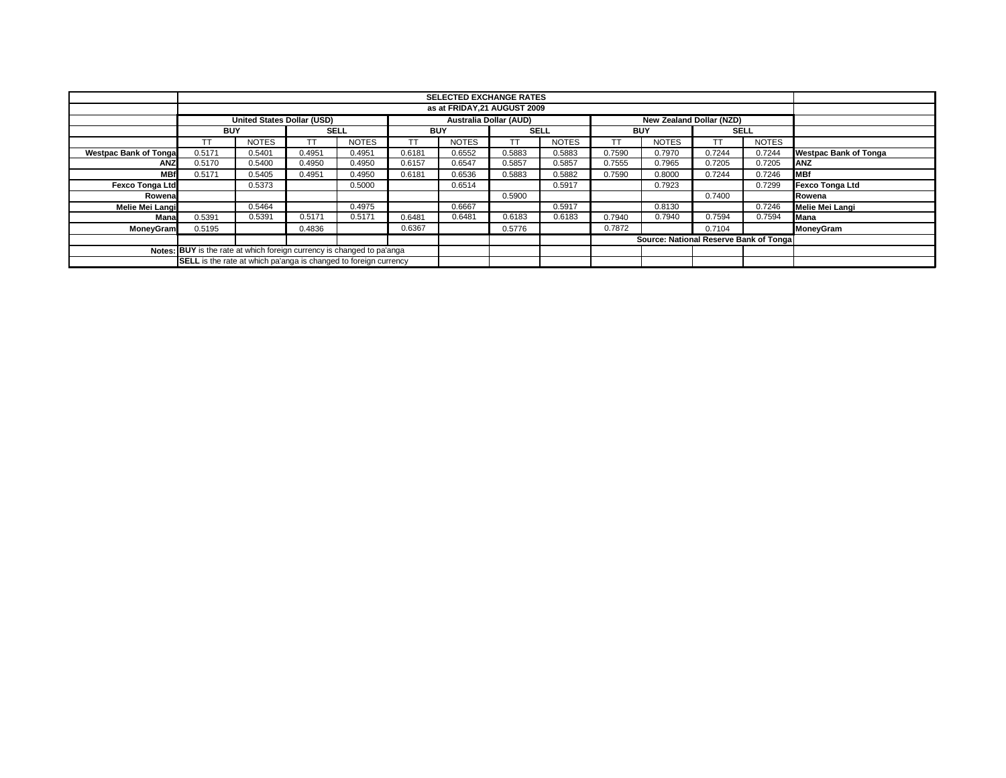|                                                                         |            |                                   |             |              |            |                               |             |              |            | <b>SELECTED EXCHANGE RATES</b>         |             |              |                              |  |  |  |  |  |  |  |  |
|-------------------------------------------------------------------------|------------|-----------------------------------|-------------|--------------|------------|-------------------------------|-------------|--------------|------------|----------------------------------------|-------------|--------------|------------------------------|--|--|--|--|--|--|--|--|
|                                                                         |            | as at FRIDAY.21 AUGUST 2009       |             |              |            |                               |             |              |            |                                        |             |              |                              |  |  |  |  |  |  |  |  |
|                                                                         |            | <b>United States Dollar (USD)</b> |             |              |            | <b>Australia Dollar (AUD)</b> |             |              |            | New Zealand Dollar (NZD)               |             |              |                              |  |  |  |  |  |  |  |  |
|                                                                         | <b>BUY</b> |                                   | <b>SELL</b> |              | <b>BUY</b> |                               | <b>SELL</b> |              | <b>BUY</b> |                                        | <b>SELL</b> |              |                              |  |  |  |  |  |  |  |  |
|                                                                         | ТT         | <b>NOTES</b>                      | <b>TT</b>   | <b>NOTES</b> | <b>TT</b>  | <b>NOTES</b>                  | TΤ          | <b>NOTES</b> | ТT         | <b>NOTES</b>                           |             | <b>NOTES</b> |                              |  |  |  |  |  |  |  |  |
| <b>Westpac Bank of Tonga</b>                                            | 0.5171     | 0.5401                            | 0.4951      | 0.4951       | 0.6181     | 0.6552                        | 0.5883      | 0.5883       | 0.7590     | 0.7970                                 | 0.7244      | 0.7244       | <b>Westpac Bank of Tonga</b> |  |  |  |  |  |  |  |  |
| <b>ANZ</b>                                                              | 0.5170     | 0.5400                            | 0.4950      | 0.4950       | 0.6157     | 0.6547                        | 0.5857      | 0.5857       | 0.7555     | 0.7965                                 | 0.7205      | 0.7205       | <b>ANZ</b>                   |  |  |  |  |  |  |  |  |
| <b>MBf</b>                                                              | 0.5171     | 0.5405                            | 0.4951      | 0.4950       | 0.6181     | 0.6536                        | 0.5883      | 0.5882       | 0.7590     | 0.8000                                 | 0.7244      | 0.7246       | <b>MBf</b>                   |  |  |  |  |  |  |  |  |
| <b>Fexco Tonga Ltd</b>                                                  |            | 0.5373                            |             | 0.5000       |            | 0.6514                        |             | 0.5917       |            | 0.7923                                 |             | 0.7299       | <b>Fexco Tonga Ltd</b>       |  |  |  |  |  |  |  |  |
| Rowenal                                                                 |            |                                   |             |              |            |                               | 0.5900      |              |            |                                        | 0.7400      |              | Rowena                       |  |  |  |  |  |  |  |  |
| Melie Mei Langi                                                         |            | 0.5464                            |             | 0.4975       |            | 0.6667                        |             | 0.5917       |            | 0.8130                                 |             | 0.7246       | Melie Mei Langi              |  |  |  |  |  |  |  |  |
| Mana                                                                    | 0.5391     | 0.5391                            | 0.5171      | 0.5171       | 0.6481     | 0.6481                        | 0.6183      | 0.6183       | 0.7940     | 0.7940                                 | 0.7594      | 0.7594       | Mana                         |  |  |  |  |  |  |  |  |
| MoneyGram                                                               | 0.5195     |                                   | 0.4836      |              | 0.6367     |                               | 0.5776      |              | 0.7872     |                                        | 0.7104      |              | MoneyGram                    |  |  |  |  |  |  |  |  |
|                                                                         |            |                                   |             |              |            |                               |             |              |            | Source: National Reserve Bank of Tonga |             |              |                              |  |  |  |  |  |  |  |  |
| Notes: BUY is the rate at which foreign currency is changed to pa'anga  |            |                                   |             |              |            |                               |             |              |            |                                        |             |              |                              |  |  |  |  |  |  |  |  |
| <b>SELL</b> is the rate at which pa'anga is changed to foreign currency |            |                                   |             |              |            |                               |             |              |            |                                        |             |              |                              |  |  |  |  |  |  |  |  |